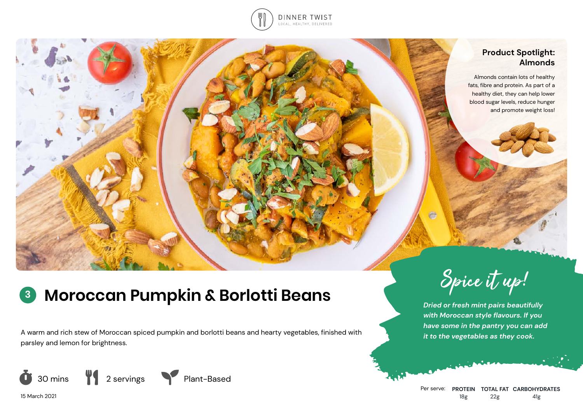

## **Product Spotlight: Almonds**

Almonds contain lots of healthy fats, fibre and protein. As part of a healthy diet, they can help lower blood sugar levels, reduce hunger and promote weight loss!

# **<sup>3</sup> Moroccan Pumpkin & Borlotti Beans**

A warm and rich stew of Moroccan spiced pumpkin and borlotti beans and hearty vegetables, finished with parsley and lemon for brightness.



15 March 2021



*Dried or fresh mint pairs beautifully with Moroccan style flavours. If you have some in the pantry you can add it to the vegetables as they cook.*